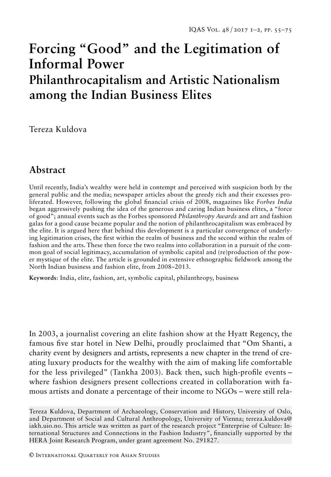# **Forcing "Good" and the Legitimation of Informal Power Philanthrocapitalism and Artistic Nationalism among the Indian Business Elites**

Tereza Kuldova

## **Abstract**

Until recently, India's wealthy were held in contempt and perceived with suspicion both by the general public and the media; newspaper articles about the greedy rich and their excesses proliferated. However, following the global financial crisis of 2008, magazines like *Forbes India* began aggressively pushing the idea of the generous and caring Indian business elites, a "force of good"; annual events such as the Forbes sponsored *Philanthropy Awards* and art and fashion galas for a good cause became popular and the notion of philanthrocapitalism was embraced by the elite. It is argued here that behind this development is a particular convergence of underlying legitimation crises, the first within the realm of business and the second within the realm of fashion and the arts. These then force the two realms into collaboration in a pursuit of the common goal of social legitimacy, accumulation of symbolic capital and (re)production of the power mystique of the elite. The article is grounded in extensive ethnographic fieldwork among the North Indian business and fashion elite, from 2008–2013.

**Keywords**: India, elite, fashion, art, symbolic capital, philanthropy, business

In 2003, a journalist covering an elite fashion show at the Hyatt Regency, the famous five star hotel in New Delhi, proudly proclaimed that "Om Shanti, a charity event by designers and artists, represents a new chapter in the trend of creating luxury products for the wealthy with the aim of making life comfortable for the less privileged" (Tankha 2003). Back then, such high-profile events – where fashion designers present collections created in collaboration with famous artists and donate a percentage of their income to NGOs – were still rela-

Tereza Kuldova, Department of Archaeology, Conservation and History, University of Oslo, and Department of Social and Cultural Anthropology, University of Vienna; tereza.kuldova@ iakh.uio.no. This article was written as part of the research project "Enterprise of Culture: International Structures and Connections in the Fashion Industry", financially supported by the HERA Joint Research Program, under grant agreement No. 291827.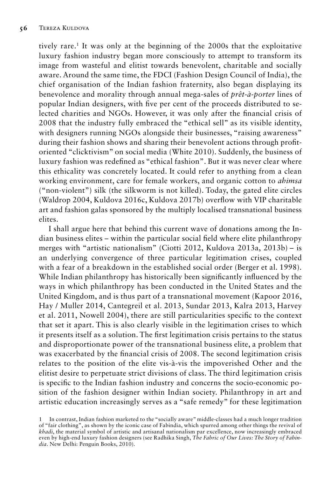tively rare.1 It was only at the beginning of the 2000s that the exploitative luxury fashion industry began more consciously to attempt to transform its image from wasteful and elitist towards benevolent, charitable and socially aware. Around the same time, the FDCI (Fashion Design Council of India), the chief organisation of the Indian fashion fraternity, also began displaying its benevolence and morality through annual mega-sales of *prêt-à-porter* lines of popular Indian designers, with five per cent of the proceeds distributed to selected charities and NGOs. However, it was only after the financial crisis of 2008 that the industry fully embraced the "ethical sell" as its visible identity, with designers running NGOs alongside their businesses, "raising awareness" during their fashion shows and sharing their benevolent actions through profitoriented "clicktivism" on social media (White 2010). Suddenly, the business of luxury fashion was redefined as "ethical fashion". But it was never clear where this ethicality was concretely located. It could refer to anything from a clean working environment, care for female workers, and organic cotton to *ahimsa* ("non-violent") silk (the silkworm is not killed). Today, the gated elite circles (Waldrop 2004, Kuldova 2016c, Kuldova 2017b) overflow with VIP charitable art and fashion galas sponsored by the multiply localised transnational business elites.

I shall argue here that behind this current wave of donations among the Indian business elites – within the particular social field where elite philanthropy merges with "artistic nationalism" (Ciotti 2012, Kuldova 2013a, 2013b) – is an underlying convergence of three particular legitimation crises, coupled with a fear of a breakdown in the established social order (Berger et al. 1998). While Indian philanthropy has historically been significantly influenced by the ways in which philanthropy has been conducted in the United States and the United Kingdom, and is thus part of a transnational movement (Kapoor 2016, Hay / Muller 2014, Cantegreil et al. 2013, Sundar 2013, Kalra 2013, Harvey et al. 2011, Nowell 2004), there are still particularities specific to the context that set it apart. This is also clearly visible in the legitimation crises to which it presents itself as a solution. The first legitimation crisis pertains to the status and disproportionate power of the transnational business elite, a problem that was exacerbated by the financial crisis of 2008. The second legitimation crisis relates to the position of the elite vis-à-vis the impoverished Other and the elitist desire to perpetuate strict divisions of class. The third legitimation crisis is specific to the Indian fashion industry and concerns the socio-economic position of the fashion designer within Indian society. Philanthropy in art and artistic education increasingly serves as a "safe remedy" for these legitimation

<sup>1</sup> In contrast, Indian fashion marketed to the "socially aware" middle-classes had a much longer tradition of "fair clothing", as shown by the iconic case of Fabindia, which spurred among other things the revival of *khadi*, the material symbol of artistic and artisanal nationalism par excellence, now increasingly embraced even by high-end luxury fashion designers (see Radhika Singh, *The Fabric of Our Lives: The Story of Fabindia*. New Delhi: Penguin Books, 2010).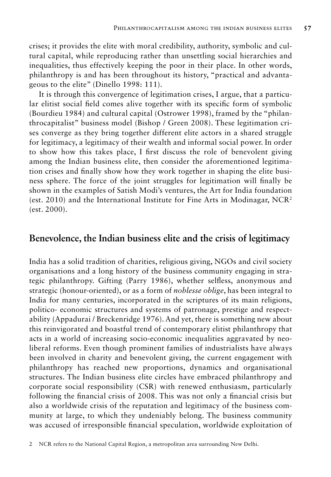crises; it provides the elite with moral credibility, authority, symbolic and cultural capital, while reproducing rather than unsettling social hierarchies and inequalities, thus effectively keeping the poor in their place. In other words, philanthropy is and has been throughout its history, "practical and advantageous to the elite" (Dinello 1998: 111).

It is through this convergence of legitimation crises, I argue, that a particular elitist social field comes alive together with its specific form of symbolic (Bourdieu 1984) and cultural capital (Ostrower 1998), framed by the "philanthrocapitalist" business model (Bishop / Green 2008). These legitimation crises converge as they bring together different elite actors in a shared struggle for legitimacy, a legitimacy of their wealth and informal social power. In order to show how this takes place, I first discuss the role of benevolent giving among the Indian business elite, then consider the aforementioned legitimation crises and finally show how they work together in shaping the elite business sphere. The force of the joint struggles for legitimation will finally be shown in the examples of Satish Modi's ventures, the Art for India foundation (est. 2010) and the International Institute for Fine Arts in Modinagar,  $NCR<sup>2</sup>$ (est. 2000).

#### **Benevolence, the Indian business elite and the crisis of legitimacy**

India has a solid tradition of charities, religious giving, NGOs and civil society organisations and a long history of the business community engaging in strategic philanthropy. Gifting (Parry 1986), whether selfless, anonymous and strategic (honour-oriented), or as a form of *noblesse oblige*, has been integral to India for many centuries, incorporated in the scriptures of its main religions, politico- economic structures and systems of patronage, prestige and respectability (Appadurai / Breckenridge 1976). And yet, there is something new about this reinvigorated and boastful trend of contemporary elitist philanthropy that acts in a world of increasing socio-economic inequalities aggravated by neoliberal reforms. Even though prominent families of industrialists have always been involved in charity and benevolent giving, the current engagement with philanthropy has reached new proportions, dynamics and organisational structures. The Indian business elite circles have embraced philanthropy and corporate social responsibility (CSR) with renewed enthusiasm, particularly following the financial crisis of 2008. This was not only a financial crisis but also a worldwide crisis of the reputation and legitimacy of the business community at large, to which they undeniably belong. The business community was accused of irresponsible financial speculation, worldwide exploitation of

<sup>2</sup> NCR refers to the National Capital Region, a metropolitan area surrounding New Delhi.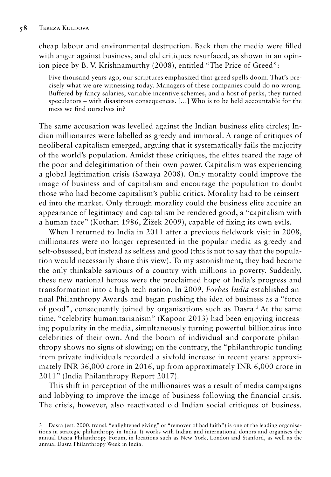cheap labour and environmental destruction. Back then the media were filled with anger against business, and old critiques resurfaced, as shown in an opinion piece by B. V. Krishnamurthy (2008), entitled "The Price of Greed":

Five thousand years ago, our scriptures emphasized that greed spells doom. That's precisely what we are witnessing today. Managers of these companies could do no wrong. Buffered by fancy salaries, variable incentive schemes, and a host of perks, they turned speculators – with disastrous consequences. […] Who is to be held accountable for the mess we find ourselves in?

The same accusation was levelled against the Indian business elite circles; Indian millionaires were labelled as greedy and immoral. A range of critiques of neoliberal capitalism emerged, arguing that it systematically fails the majority of the world's population. Amidst these critiques, the elites feared the rage of the poor and delegitimation of their own power. Capitalism was experiencing a global legitimation crisis (Sawaya 2008). Only morality could improve the image of business and of capitalism and encourage the population to doubt those who had become capitalism's public critics. Morality had to be reinserted into the market. Only through morality could the business elite acquire an appearance of legitimacy and capitalism be rendered good, a "capitalism with a human face" (Kothari 1986, Žižek 2009), capable of fixing its own evils.

When I returned to India in 2011 after a previous fieldwork visit in 2008, millionaires were no longer represented in the popular media as greedy and self-obsessed, but instead as selfless and good (this is not to say that the population would necessarily share this view). To my astonishment, they had become the only thinkable saviours of a country with millions in poverty. Suddenly, these new national heroes were the proclaimed hope of India's progress and transformation into a high-tech nation. In 2009, *Forbes India* established annual Philanthropy Awards and began pushing the idea of business as a "force of good", consequently joined by organisations such as Dasra.3 At the same time, "celebrity humanitarianism" (Kapoor 2013) had been enjoying increasing popularity in the media, simultaneously turning powerful billionaires into celebrities of their own. And the boom of individual and corporate philanthropy shows no signs of slowing; on the contrary, the "philanthropic funding from private individuals recorded a sixfold increase in recent years: approximately INR 36,000 crore in 2016, up from approximately INR 6,000 crore in 2011" (India Philanthropy Report 2017).

This shift in perception of the millionaires was a result of media campaigns and lobbying to improve the image of business following the financial crisis. The crisis, however, also reactivated old Indian social critiques of business.

<sup>3</sup> Dasra (est. 2000, transl. "enlightened giving" or "remover of bad faith") is one of the leading organisations in strategic philanthropy in India. It works with Indian and international donors and organises the annual Dasra Philanthropy Forum, in locations such as New York, London and Stanford, as well as the annual Dasra Philanthropy Week in India.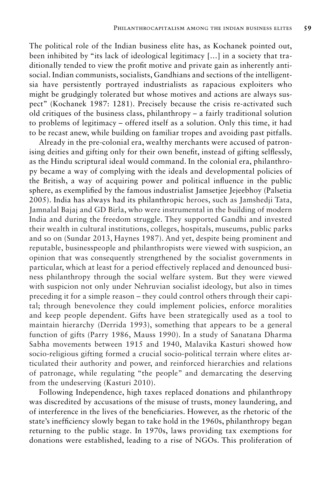The political role of the Indian business elite has, as Kochanek pointed out, been inhibited by "its lack of ideological legitimacy […] in a society that traditionally tended to view the profit motive and private gain as inherently antisocial. Indian communists, socialists, Gandhians and sections of the intelligentsia have persistently portrayed industrialists as rapacious exploiters who might be grudgingly tolerated but whose motives and actions are always suspect" (Kochanek 1987: 1281). Precisely because the crisis re-activated such old critiques of the business class, philanthropy – a fairly traditional solution to problems of legitimacy – offered itself as a solution. Only this time, it had to be recast anew, while building on familiar tropes and avoiding past pitfalls.

Already in the pre-colonial era, wealthy merchants were accused of patronising deities and gifting only for their own benefit, instead of gifting selflessly, as the Hindu scriptural ideal would command. In the colonial era, philanthropy became a way of complying with the ideals and developmental policies of the British, a way of acquiring power and political influence in the public sphere, as exemplified by the famous industrialist Jamsetjee Jejeebhoy (Palsetia 2005). India has always had its philanthropic heroes, such as Jamshedji Tata, Jamnalal Bajaj and GD Birla, who were instrumental in the building of modern India and during the freedom struggle. They supported Gandhi and invested their wealth in cultural institutions, colleges, hospitals, museums, public parks and so on (Sundar 2013, Haynes 1987). And yet, despite being prominent and reputable, businesspeople and philanthropists were viewed with suspicion, an opinion that was consequently strengthened by the socialist governments in particular, which at least for a period effectively replaced and denounced business philanthropy through the social welfare system. But they were viewed with suspicion not only under Nehruvian socialist ideology, but also in times preceding it for a simple reason – they could control others through their capital; through benevolence they could implement policies, enforce moralities and keep people dependent. Gifts have been strategically used as a tool to maintain hierarchy (Derrida 1993), something that appears to be a general function of gifts (Parry 1986, Mauss 1990). In a study of Sanatana Dharma Sabha movements between 1915 and 1940, Malavika Kasturi showed how socio-religious gifting formed a crucial socio-political terrain where elites articulated their authority and power, and reinforced hierarchies and relations of patronage, while regulating "the people" and demarcating the deserving from the undeserving (Kasturi 2010).

Following Independence, high taxes replaced donations and philanthropy was discredited by accusations of the misuse of trusts, money laundering, and of interference in the lives of the beneficiaries. However, as the rhetoric of the state's inefficiency slowly began to take hold in the 1960s, philanthropy began returning to the public stage. In 1970s, laws providing tax exemptions for donations were established, leading to a rise of NGOs. This proliferation of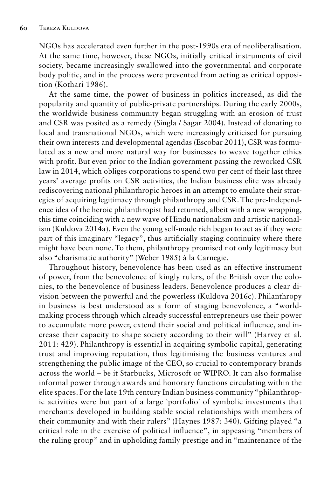NGOs has accelerated even further in the post-1990s era of neoliberalisation. At the same time, however, these NGOs, initially critical instruments of civil society, became increasingly swallowed into the governmental and corporate body politic, and in the process were prevented from acting as critical opposition (Kothari 1986).

At the same time, the power of business in politics increased, as did the popularity and quantity of public-private partnerships. During the early 2000s, the worldwide business community began struggling with an erosion of trust and CSR was posited as a remedy (Singla / Sagar 2004). Instead of donating to local and transnational NGOs, which were increasingly criticised for pursuing their own interests and developmental agendas (Escobar 2011), CSR was formulated as a new and more natural way for businesses to weave together ethics with profit. But even prior to the Indian government passing the reworked CSR law in 2014, which obliges corporations to spend two per cent of their last three years' average profits on CSR activities, the Indian business elite was already rediscovering national philanthropic heroes in an attempt to emulate their strategies of acquiring legitimacy through philanthropy and CSR. The pre-Independence idea of the heroic philanthropist had returned, albeit with a new wrapping, this time coinciding with a new wave of Hindu nationalism and artistic nationalism (Kuldova 2014a). Even the young self-made rich began to act as if they were part of this imaginary "legacy", thus artificially staging continuity where there might have been none. To them, philanthropy promised not only legitimacy but also "charismatic authority" (Weber 1985) à la Carnegie.

Throughout history, benevolence has been used as an effective instrument of power, from the benevolence of kingly rulers, of the British over the colonies, to the benevolence of business leaders. Benevolence produces a clear division between the powerful and the powerless (Kuldova 2016c). Philanthropy in business is best understood as a form of staging benevolence, a "worldmaking process through which already successful entrepreneurs use their power to accumulate more power, extend their social and political influence, and increase their capacity to shape society according to their will" (Harvey et al. 2011: 429). Philanthropy is essential in acquiring symbolic capital, generating trust and improving reputation, thus legitimising the business ventures and strengthening the public image of the CEO, so crucial to contemporary brands across the world – be it Starbucks, Microsoft or WIPRO. It can also formalise informal power through awards and honorary functions circulating within the elite spaces. For the late 19th century Indian business community "philanthropic activities were but part of a large 'portfolio' of symbolic investments that merchants developed in building stable social relationships with members of their community and with their rulers" (Haynes 1987: 340). Gifting played "a critical role in the exercise of political influence", in appeasing "members of the ruling group" and in upholding family prestige and in "maintenance of the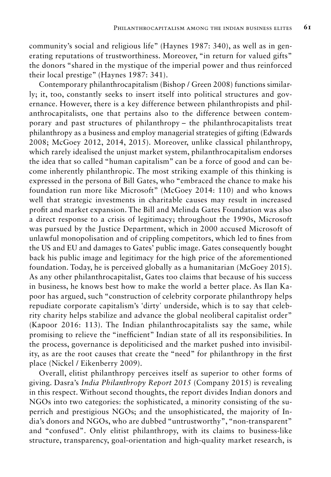community's social and religious life" (Haynes 1987: 340), as well as in generating reputations of trustworthiness. Moreover, "in return for valued gifts" the donors "shared in the mystique of the imperial power and thus reinforced their local prestige" (Haynes 1987: 341).

Contemporary philanthrocapitalism (Bishop / Green 2008) functions similarly; it, too, constantly seeks to insert itself into political structures and governance. However, there is a key difference between philanthropists and philanthrocapitalists, one that pertains also to the difference between contemporary and past structures of philanthropy – the philanthrocapitalists treat philanthropy as a business and employ managerial strategies of gifting (Edwards 2008; McGoey 2012, 2014, 2015). Moreover, unlike classical philanthropy, which rarely idealised the unjust market system, philanthrocapitalism endorses the idea that so called "human capitalism" can be a force of good and can become inherently philanthropic. The most striking example of this thinking is expressed in the persona of Bill Gates, who "embraced the chance to make his foundation run more like Microsoft" (McGoey 2014: 110) and who knows well that strategic investments in charitable causes may result in increased profit and market expansion. The Bill and Melinda Gates Foundation was also a direct response to a crisis of legitimacy; throughout the 1990s, Microsoft was pursued by the Justice Department, which in 2000 accused Microsoft of unlawful monopolisation and of crippling competitors, which led to fines from the US and EU and damages to Gates' public image. Gates consequently bought back his public image and legitimacy for the high price of the aforementioned foundation. Today, he is perceived globally as a humanitarian (McGoey 2015). As any other philanthrocapitalist, Gates too claims that because of his success in business, he knows best how to make the world a better place. As Ilan Kapoor has argued, such "construction of celebrity corporate philanthropy helps repudiate corporate capitalism's 'dirty' underside, which is to say that celebrity charity helps stabilize and advance the global neoliberal capitalist order" (Kapoor 2016: 113). The Indian philanthrocapitalists say the same, while promising to relieve the "inefficient" Indian state of all its responsibilities. In the process, governance is depoliticised and the market pushed into invisibility, as are the root causes that create the "need" for philanthropy in the first place (Nickel / Eikenberry 2009).

Overall, elitist philanthropy perceives itself as superior to other forms of giving. Dasra's *India Philanthropy Report 2015* (Company 2015) is revealing in this respect. Without second thoughts, the report divides Indian donors and NGOs into two categories: the sophisticated, a minority consisting of the superrich and prestigious NGOs; and the unsophisticated, the majority of India's donors and NGOs, who are dubbed "untrustworthy", "non-transparent" and "confused". Only elitist philanthropy, with its claims to business-like structure, transparency, goal-orientation and high-quality market research, is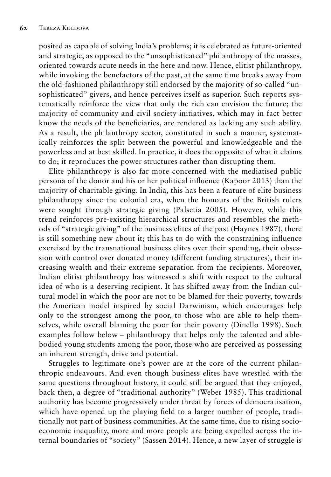posited as capable of solving India's problems; it is celebrated as future-oriented and strategic, as opposed to the "unsophisticated" philanthropy of the masses, oriented towards acute needs in the here and now. Hence, elitist philanthropy, while invoking the benefactors of the past, at the same time breaks away from the old-fashioned philanthropy still endorsed by the majority of so-called "unsophisticated" givers, and hence perceives itself as superior. Such reports systematically reinforce the view that only the rich can envision the future; the majority of community and civil society initiatives, which may in fact better know the needs of the beneficiaries, are rendered as lacking any such ability. As a result, the philanthropy sector, constituted in such a manner, systematically reinforces the split between the powerful and knowledgeable and the powerless and at best skilled. In practice, it does the opposite of what it claims to do; it reproduces the power structures rather than disrupting them.

Elite philanthropy is also far more concerned with the mediatised public persona of the donor and his or her political influence (Kapoor 2013) than the majority of charitable giving. In India, this has been a feature of elite business philanthropy since the colonial era, when the honours of the British rulers were sought through strategic giving (Palsetia 2005). However, while this trend reinforces pre-existing hierarchical structures and resembles the methods of "strategic giving" of the business elites of the past (Haynes 1987), there is still something new about it; this has to do with the constraining influence exercised by the transnational business elites over their spending, their obsession with control over donated money (different funding structures), their increasing wealth and their extreme separation from the recipients. Moreover, Indian elitist philanthropy has witnessed a shift with respect to the cultural idea of who is a deserving recipient. It has shifted away from the Indian cultural model in which the poor are not to be blamed for their poverty, towards the American model inspired by social Darwinism, which encourages help only to the strongest among the poor, to those who are able to help themselves, while overall blaming the poor for their poverty (Dinello 1998). Such examples follow below – philanthropy that helps only the talented and ablebodied young students among the poor, those who are perceived as possessing an inherent strength, drive and potential.

Struggles to legitimate one's power are at the core of the current philanthropic endeavours. And even though business elites have wrestled with the same questions throughout history, it could still be argued that they enjoyed, back then, a degree of "traditional authority" (Weber 1985). This traditional authority has become progressively under threat by forces of democratisation, which have opened up the playing field to a larger number of people, traditionally not part of business communities. At the same time, due to rising socioeconomic inequality, more and more people are being expelled across the internal boundaries of "society" (Sassen 2014). Hence, a new layer of struggle is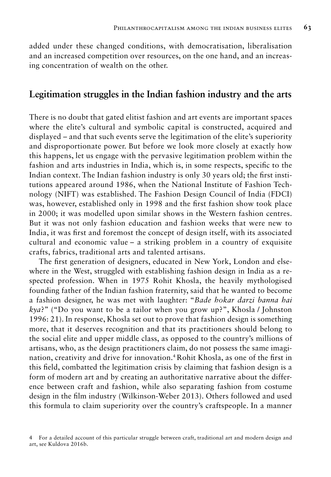added under these changed conditions, with democratisation, liberalisation and an increased competition over resources, on the one hand, and an increasing concentration of wealth on the other.

#### **Legitimation struggles in the Indian fashion industry and the arts**

There is no doubt that gated elitist fashion and art events are important spaces where the elite's cultural and symbolic capital is constructed, acquired and displayed – and that such events serve the legitimation of the elite's superiority and disproportionate power. But before we look more closely at exactly how this happens, let us engage with the pervasive legitimation problem within the fashion and arts industries in India, which is, in some respects, specific to the Indian context. The Indian fashion industry is only 30 years old; the first institutions appeared around 1986, when the National Institute of Fashion Technology (NIFT) was established. The Fashion Design Council of India (FDCI) was, however, established only in 1998 and the first fashion show took place in 2000; it was modelled upon similar shows in the Western fashion centres. But it was not only fashion education and fashion weeks that were new to India, it was first and foremost the concept of design itself, with its associated cultural and economic value – a striking problem in a country of exquisite crafts, fabrics, traditional arts and talented artisans.

The first generation of designers, educated in New York, London and elsewhere in the West, struggled with establishing fashion design in India as a respected profession. When in 1975 Rohit Khosla, the heavily mythologised founding father of the Indian fashion fraternity, said that he wanted to become a fashion designer, he was met with laughter: "*Bade hokar darzi banna hai kya*?" ("Do you want to be a tailor when you grow up?", Khosla / Johnston 1996: 21). In response, Khosla set out to prove that fashion design is something more, that it deserves recognition and that its practitioners should belong to the social elite and upper middle class, as opposed to the country's millions of artisans, who, as the design practitioners claim, do not possess the same imagination, creativity and drive for innovation.4 Rohit Khosla, as one of the first in this field, combatted the legitimation crisis by claiming that fashion design is a form of modern art and by creating an authoritative narrative about the difference between craft and fashion, while also separating fashion from costume design in the film industry (Wilkinson-Weber 2013). Others followed and used this formula to claim superiority over the country's craftspeople. In a manner

<sup>4</sup> For a detailed account of this particular struggle between craft, traditional art and modern design and art, see Kuldova 2016b.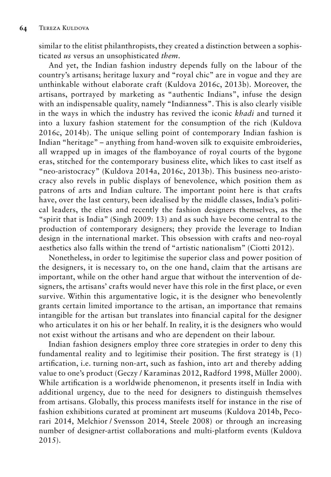similar to the elitist philanthropists, they created a distinction between a sophisticated *us* versus an unsophisticated *them*.

And yet, the Indian fashion industry depends fully on the labour of the country's artisans; heritage luxury and "royal chic" are in vogue and they are unthinkable without elaborate craft (Kuldova 2016c, 2013b). Moreover, the artisans, portrayed by marketing as "authentic Indians", infuse the design with an indispensable quality, namely "Indianness". This is also clearly visible in the ways in which the industry has revived the iconic *khadi* and turned it into a luxury fashion statement for the consumption of the rich (Kuldova 2016c, 2014b). The unique selling point of contemporary Indian fashion is Indian "heritage" – anything from hand-woven silk to exquisite embroideries, all wrapped up in images of the flamboyance of royal courts of the bygone eras, stitched for the contemporary business elite, which likes to cast itself as "neo-aristocracy" (Kuldova 2014a, 2016c, 2013b). This business neo-aristocracy also revels in public displays of benevolence, which position them as patrons of arts and Indian culture. The important point here is that crafts have, over the last century, been idealised by the middle classes, India's political leaders, the elites and recently the fashion designers themselves, as the "spirit that is India" (Singh 2009: 13) and as such have become central to the production of contemporary designers; they provide the leverage to Indian design in the international market. This obsession with crafts and neo-royal aesthetics also falls within the trend of "artistic nationalism" (Ciotti 2012).

Nonetheless, in order to legitimise the superior class and power position of the designers, it is necessary to, on the one hand, claim that the artisans are important, while on the other hand argue that without the intervention of designers, the artisans' crafts would never have this role in the first place, or even survive. Within this argumentative logic, it is the designer who benevolently grants certain limited importance to the artisan, an importance that remains intangible for the artisan but translates into financial capital for the designer who articulates it on his or her behalf. In reality, it is the designers who would not exist without the artisans and who are dependent on their labour.

Indian fashion designers employ three core strategies in order to deny this fundamental reality and to legitimise their position. The first strategy is (1) artification, i.e. turning non-art, such as fashion, into art and thereby adding value to one's product (Geczy / Karaminas 2012, Radford 1998, Müller 2000). While artification is a worldwide phenomenon, it presents itself in India with additional urgency, due to the need for designers to distinguish themselves from artisans. Globally, this process manifests itself for instance in the rise of fashion exhibitions curated at prominent art museums (Kuldova 2014b, Pecorari 2014, Melchior / Svensson 2014, Steele 2008) or through an increasing number of designer-artist collaborations and multi-platform events (Kuldova 2015).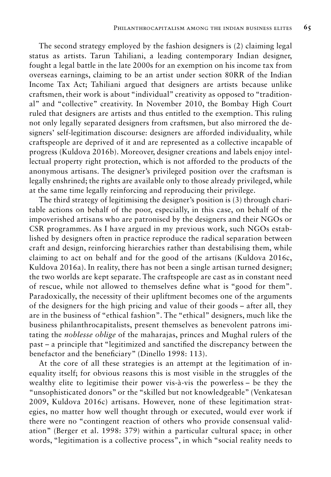The second strategy employed by the fashion designers is (2) claiming legal status as artists. Tarun Tahiliani, a leading contemporary Indian designer, fought a legal battle in the late 2000s for an exemption on his income tax from overseas earnings, claiming to be an artist under section 80RR of the Indian Income Tax Act; Tahiliani argued that designers are artists because unlike craftsmen, their work is about "individual" creativity as opposed to "traditional" and "collective" creativity. In November 2010, the Bombay High Court ruled that designers are artists and thus entitled to the exemption. This ruling not only legally separated designers from craftsmen, but also mirrored the designers' self-legitimation discourse: designers are afforded individuality, while craftspeople are deprived of it and are represented as a collective incapable of progress (Kuldova 2016b). Moreover, designer creations and labels enjoy intellectual property right protection, which is not afforded to the products of the anonymous artisans. The designer's privileged position over the craftsman is legally enshrined; the rights are available only to those already privileged, while at the same time legally reinforcing and reproducing their privilege.

The third strategy of legitimising the designer's position is (3) through charitable actions on behalf of the poor, especially, in this case, on behalf of the impoverished artisans who are patronised by the designers and their NGOs or CSR programmes. As I have argued in my previous work, such NGOs established by designers often in practice reproduce the radical separation between craft and design, reinforcing hierarchies rather than destabilising them, while claiming to act on behalf and for the good of the artisans (Kuldova 2016c, Kuldova 2016a). In reality, there has not been a single artisan turned designer; the two worlds are kept separate. The craftspeople are cast as in constant need of rescue, while not allowed to themselves define what is "good for them". Paradoxically, the necessity of their upliftment becomes one of the arguments of the designers for the high pricing and value of their goods – after all, they are in the business of "ethical fashion". The "ethical" designers, much like the business philanthrocapitalists, present themselves as benevolent patrons imitating the *noblesse oblige* of the maharajas, princes and Mughal rulers of the past – a principle that "legitimized and sanctified the discrepancy between the benefactor and the beneficiary" (Dinello 1998: 113).

At the core of all these strategies is an attempt at the legitimation of inequality itself; for obvious reasons this is most visible in the struggles of the wealthy elite to legitimise their power vis-à-vis the powerless – be they the "unsophisticated donors" or the "skilled but not knowledgeable" (Venkatesan 2009, Kuldova 2016c) artisans. However, none of these legitimation strategies, no matter how well thought through or executed, would ever work if there were no "contingent reaction of others who provide consensual validation" (Berger et al. 1998: 379) within a particular cultural space; in other words, "legitimation is a collective process", in which "social reality needs to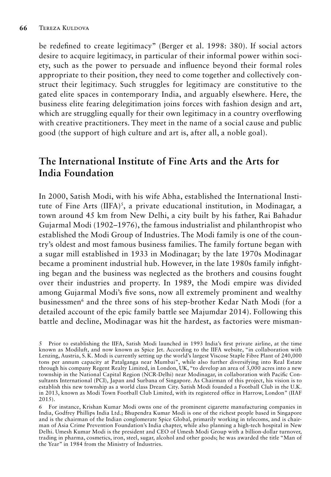be redefined to create legitimacy" (Berger et al. 1998: 380). If social actors desire to acquire legitimacy, in particular of their informal power within society, such as the power to persuade and influence beyond their formal roles appropriate to their position, they need to come together and collectively construct their legitimacy. Such struggles for legitimacy are constitutive to the gated elite spaces in contemporary India, and arguably elsewhere. Here, the business elite fearing delegitimation joins forces with fashion design and art, which are struggling equally for their own legitimacy in a country overflowing with creative practitioners. They meet in the name of a social cause and public good (the support of high culture and art is, after all, a noble goal).

## **The International Institute of Fine Arts and the Arts for India Foundation**

In 2000, Satish Modi, with his wife Abha, established the International Institute of Fine Arts  $(IIFA)^5$ , a private educational institution, in Modinagar, a town around 45 km from New Delhi, a city built by his father, Rai Bahadur Gujarmal Modi (1902–1976), the famous industrialist and philanthropist who established the Modi Group of Industries. The Modi family is one of the country's oldest and most famous business families. The family fortune began with a sugar mill established in 1933 in Modinagar; by the late 1970s Modinagar became a prominent industrial hub. However, in the late 1980s family infighting began and the business was neglected as the brothers and cousins fought over their industries and property. In 1989, the Modi empire was divided among Gujarmal Modi's five sons, now all extremely prominent and wealthy businessmen<sup>6</sup> and the three sons of his step-brother Kedar Nath Modi (for a detailed account of the epic family battle see Majumdar 2014). Following this battle and decline, Modinagar was hit the hardest, as factories were misman-

<sup>5</sup> Prior to establishing the IIFA, Satish Modi launched in 1993 India's first private airline, at the time known as Modiluft, and now known as Spice Jet. According to the IIFA website, "in collaboration with Lenzing, Austria, S. K. Modi is currently setting up the world's largest Viscose Staple Fibre Plant of 240,000 tons per annum capacity at Patalganga near Mumbai", while also further diversifying into Real Estate through his company Regent Realty Limited, in London, UK, "to develop an area of 3,000 acres into a new township in the National Capital Region (NCR-Delhi) near Modinagar, in collaboration with Pacific Consultants International (PCI), Japan and Surbana of Singapore. As Chairman of this project, his vision is to establish this new township as a world class Dream City. Satish Modi founded a Football Club in the U.K. in 2013, known as Modi Town Football Club Limited, with its registered office in Harrow, London" (IIAF 2015).

<sup>6</sup> For instance, Krishan Kumar Modi owns one of the prominent cigarette manufacturing companies in India, Godfrey Phillips India Ltd.; Bhupendra Kumar Modi is one of the richest people based in Singapore and is the chairman of the Indian conglomerate Spice Global, primarily working in telecoms, and is chairman of Asia Crime Prevention Foundation's India chapter, while also planning a high-tech hospital in New Delhi. Umesh Kumar Modi is the president and CEO of Umesh Modi Group with a billion-dollar turnover, trading in pharma, cosmetics, iron, steel, sugar, alcohol and other goods; he was awarded the title "Man of the Year" in 1984 from the Ministry of Industries.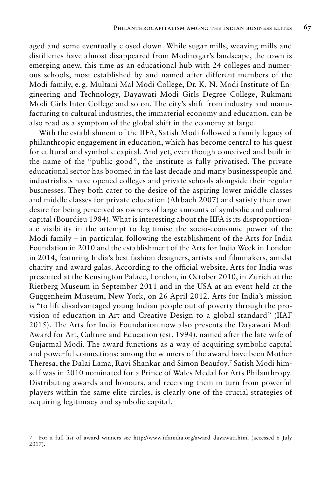aged and some eventually closed down. While sugar mills, weaving mills and distilleries have almost disappeared from Modinagar's landscape, the town is emerging anew, this time as an educational hub with 24 colleges and numerous schools, most established by and named after different members of the Modi family, e. g. Multani Mal Modi College, Dr. K. N. Modi Institute of Engineering and Technology, Dayawati Modi Girls Degree College, Rukmani Modi Girls Inter College and so on. The city's shift from industry and manufacturing to cultural industries, the immaterial economy and education, can be also read as a symptom of the global shift in the economy at large.

With the establishment of the IIFA, Satish Modi followed a family legacy of philanthropic engagement in education, which has become central to his quest for cultural and symbolic capital. And yet, even though conceived and built in the name of the "public good", the institute is fully privatised. The private educational sector has boomed in the last decade and many businesspeople and industrialists have opened colleges and private schools alongside their regular businesses. They both cater to the desire of the aspiring lower middle classes and middle classes for private education (Altbach 2007) and satisfy their own desire for being perceived as owners of large amounts of symbolic and cultural capital (Bourdieu 1984). What is interesting about the IIFA is its disproportionate visibility in the attempt to legitimise the socio-economic power of the Modi family – in particular, following the establishment of the Arts for India Foundation in 2010 and the establishment of the Arts for India Week in London in 2014, featuring India's best fashion designers, artists and filmmakers, amidst charity and award galas. According to the official website, Arts for India was presented at the Kensington Palace, London, in October 2010, in Zurich at the Rietberg Museum in September 2011 and in the USA at an event held at the Guggenheim Museum, New York, on 26 April 2012. Arts for India's mission is "to lift disadvantaged young Indian people out of poverty through the provision of education in Art and Creative Design to a global standard" (IIAF 2015). The Arts for India Foundation now also presents the Dayawati Modi Award for Art, Culture and Education (est. 1994), named after the late wife of Gujarmal Modi. The award functions as a way of acquiring symbolic capital and powerful connections: among the winners of the award have been Mother Theresa, the Dalai Lama, Ravi Shankar and Simon Beaufoy.7 Satish Modi himself was in 2010 nominated for a Prince of Wales Medal for Arts Philanthropy. Distributing awards and honours, and receiving them in turn from powerful players within the same elite circles, is clearly one of the crucial strategies of acquiring legitimacy and symbolic capital.

<sup>7</sup> For a full list of award winners see http://www.iifaindia.org/award\_dayawati.html (accessed 6 July 2017).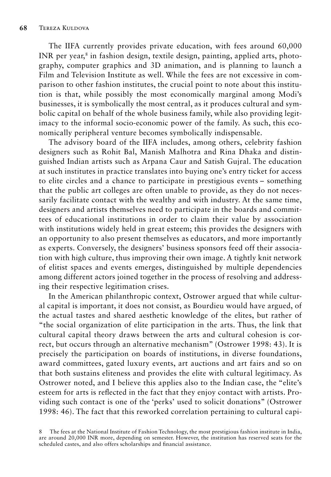The IIFA currently provides private education, with fees around 60,000 INR per year, $\delta$  in fashion design, textile design, painting, applied arts, photography, computer graphics and 3D animation, and is planning to launch a Film and Television Institute as well. While the fees are not excessive in comparison to other fashion institutes, the crucial point to note about this institution is that, while possibly the most economically marginal among Modi's businesses, it is symbolically the most central, as it produces cultural and symbolic capital on behalf of the whole business family, while also providing legitimacy to the informal socio-economic power of the family. As such, this economically peripheral venture becomes symbolically indispensable.

The advisory board of the IIFA includes, among others, celebrity fashion designers such as Rohit Bal, Manish Malhotra and Rina Dhaka and distinguished Indian artists such as Arpana Caur and Satish Gujral. The education at such institutes in practice translates into buying one's entry ticket for access to elite circles and a chance to participate in prestigious events – something that the public art colleges are often unable to provide, as they do not necessarily facilitate contact with the wealthy and with industry. At the same time, designers and artists themselves need to participate in the boards and committees of educational institutions in order to claim their value by association with institutions widely held in great esteem; this provides the designers with an opportunity to also present themselves as educators, and more importantly as experts. Conversely, the designers' business sponsors feed off their association with high culture, thus improving their own image. A tightly knit network of elitist spaces and events emerges, distinguished by multiple dependencies among different actors joined together in the process of resolving and addressing their respective legitimation crises.

In the American philanthropic context, Ostrower argued that while cultural capital is important, it does not consist, as Bourdieu would have argued, of the actual tastes and shared aesthetic knowledge of the elites, but rather of "the social organization of elite participation in the arts. Thus, the link that cultural capital theory draws between the arts and cultural cohesion is correct, but occurs through an alternative mechanism" (Ostrower 1998: 43). It is precisely the participation on boards of institutions, in diverse foundations, award committees, gated luxury events, art auctions and art fairs and so on that both sustains eliteness and provides the elite with cultural legitimacy. As Ostrower noted, and I believe this applies also to the Indian case, the "elite's esteem for arts is reflected in the fact that they enjoy contact with artists. Providing such contact is one of the 'perks' used to solicit donations" (Ostrower 1998: 46). The fact that this reworked correlation pertaining to cultural capi-

8 The fees at the National Institute of Fashion Technology, the most prestigious fashion institute in India, are around 20,000 INR more, depending on semester. However, the institution has reserved seats for the scheduled castes, and also offers scholarships and financial assistance.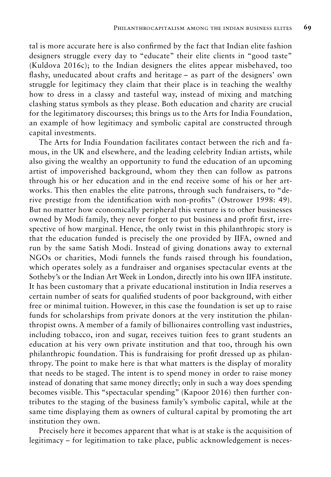tal is more accurate here is also confirmed by the fact that Indian elite fashion designers struggle every day to "educate" their elite clients in "good taste" (Kuldova 2016c); to the Indian designers the elites appear misbehaved, too flashy, uneducated about crafts and heritage – as part of the designers' own struggle for legitimacy they claim that their place is in teaching the wealthy how to dress in a classy and tasteful way, instead of mixing and matching clashing status symbols as they please. Both education and charity are crucial for the legitimatory discourses; this brings us to the Arts for India Foundation, an example of how legitimacy and symbolic capital are constructed through capital investments.

The Arts for India Foundation facilitates contact between the rich and famous, in the UK and elsewhere, and the leading celebrity Indian artists, while also giving the wealthy an opportunity to fund the education of an upcoming artist of impoverished background, whom they then can follow as patrons through his or her education and in the end receive some of his or her artworks. This then enables the elite patrons, through such fundraisers, to "derive prestige from the identification with non-profits" (Ostrower 1998: 49). But no matter how economically peripheral this venture is to other businesses owned by Modi family, they never forget to put business and profit first, irrespective of how marginal. Hence, the only twist in this philanthropic story is that the education funded is precisely the one provided by IIFA, owned and run by the same Satish Modi. Instead of giving donations away to external NGOs or charities, Modi funnels the funds raised through his foundation, which operates solely as a fundraiser and organises spectacular events at the Sotheby's or the Indian Art Week in London, directly into his own IIFA institute. It has been customary that a private educational institution in India reserves a certain number of seats for qualified students of poor background, with either free or minimal tuition. However, in this case the foundation is set up to raise funds for scholarships from private donors at the very institution the philanthropist owns. A member of a family of billionaires controlling vast industries, including tobacco, iron and sugar, receives tuition fees to grant students an education at his very own private institution and that too, through his own philanthropic foundation. This is fundraising for profit dressed up as philanthropy. The point to make here is that what matters is the display of morality that needs to be staged. The intent is to spend money in order to raise money instead of donating that same money directly; only in such a way does spending becomes visible. This "spectacular spending" (Kapoor 2016) then further contributes to the staging of the business family's symbolic capital, while at the same time displaying them as owners of cultural capital by promoting the art institution they own.

Precisely here it becomes apparent that what is at stake is the acquisition of legitimacy – for legitimation to take place, public acknowledgement is neces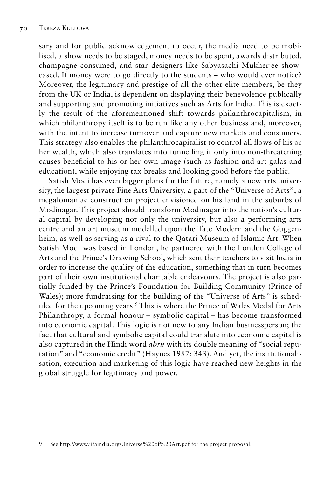sary and for public acknowledgement to occur, the media need to be mobilised, a show needs to be staged, money needs to be spent, awards distributed, champagne consumed, and star designers like Sabyasachi Mukherjee showcased. If money were to go directly to the students – who would ever notice? Moreover, the legitimacy and prestige of all the other elite members, be they from the UK or India, is dependent on displaying their benevolence publically and supporting and promoting initiatives such as Arts for India. This is exactly the result of the aforementioned shift towards philanthrocapitalism, in which philanthropy itself is to be run like any other business and, moreover, with the intent to increase turnover and capture new markets and consumers. This strategy also enables the philanthrocapitalist to control all flows of his or her wealth, which also translates into funnelling it only into non-threatening causes beneficial to his or her own image (such as fashion and art galas and education), while enjoying tax breaks and looking good before the public.

Satish Modi has even bigger plans for the future, namely a new arts university, the largest private Fine Arts University, a part of the "Universe of Arts", a megalomaniac construction project envisioned on his land in the suburbs of Modinagar. This project should transform Modinagar into the nation's cultural capital by developing not only the university, but also a performing arts centre and an art museum modelled upon the Tate Modern and the Guggenheim, as well as serving as a rival to the Qatari Museum of Islamic Art. When Satish Modi was based in London, he partnered with the London College of Arts and the Prince's Drawing School, which sent their teachers to visit India in order to increase the quality of the education, something that in turn becomes part of their own institutional charitable endeavours. The project is also partially funded by the Prince's Foundation for Building Community (Prince of Wales); more fundraising for the building of the "Universe of Arts" is scheduled for the upcoming years.9 This is where the Prince of Wales Medal for Arts Philanthropy, a formal honour – symbolic capital – has become transformed into economic capital. This logic is not new to any Indian businessperson; the fact that cultural and symbolic capital could translate into economic capital is also captured in the Hindi word *abru* with its double meaning of "social reputation" and "economic credit" (Haynes 1987: 343). And yet, the institutionalisation, execution and marketing of this logic have reached new heights in the global struggle for legitimacy and power.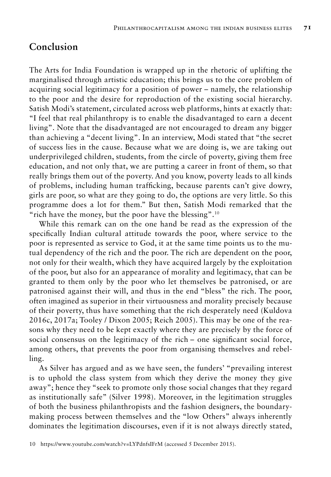#### **Conclusion**

The Arts for India Foundation is wrapped up in the rhetoric of uplifting the marginalised through artistic education; this brings us to the core problem of acquiring social legitimacy for a position of power – namely, the relationship to the poor and the desire for reproduction of the existing social hierarchy. Satish Modi's statement, circulated across web platforms, hints at exactly that: "I feel that real philanthropy is to enable the disadvantaged to earn a decent living". Note that the disadvantaged are not encouraged to dream any bigger than achieving a "decent living". In an interview, Modi stated that "the secret of success lies in the cause. Because what we are doing is, we are taking out underprivileged children, students, from the circle of poverty, giving them free education, and not only that, we are putting a career in front of them, so that really brings them out of the poverty. And you know, poverty leads to all kinds of problems, including human trafficking, because parents can't give dowry, girls are poor, so what are they going to do, the options are very little. So this programme does a lot for them." But then, Satish Modi remarked that the "rich have the money, but the poor have the blessing".<sup>10</sup>

While this remark can on the one hand be read as the expression of the specifically Indian cultural attitude towards the poor, where service to the poor is represented as service to God, it at the same time points us to the mutual dependency of the rich and the poor. The rich are dependent on the poor, not only for their wealth, which they have acquired largely by the exploitation of the poor, but also for an appearance of morality and legitimacy, that can be granted to them only by the poor who let themselves be patronised, or are patronised against their will, and thus in the end "bless" the rich. The poor, often imagined as superior in their virtuousness and morality precisely because of their poverty, thus have something that the rich desperately need (Kuldova 2016c, 2017a; Tooley / Dixon 2005; Reich 2005). This may be one of the reasons why they need to be kept exactly where they are precisely by the force of social consensus on the legitimacy of the rich – one significant social force, among others, that prevents the poor from organising themselves and rebelling.

As Silver has argued and as we have seen, the funders' "prevailing interest is to uphold the class system from which they derive the money they give away"; hence they "seek to promote only those social changes that they regard as institutionally safe" (Silver 1998). Moreover, in the legitimation struggles of both the business philanthropists and the fashion designers, the boundarymaking process between themselves and the "low Others" always inherently dominates the legitimation discourses, even if it is not always directly stated,

<sup>10</sup> https://www.youtube.com/watch?v=LYPdnfsIFrM (accessed 5 December 2015).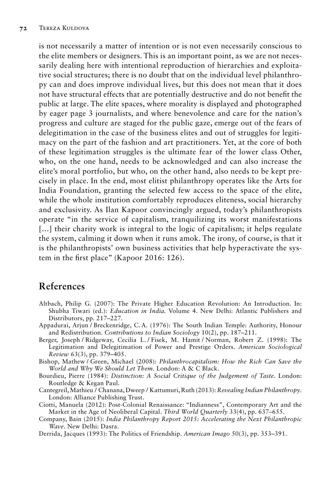is not necessarily a matter of intention or is not even necessarily conscious to the elite members or designers. This is an important point, as we are not necessarily dealing here with intentional reproduction of hierarchies and exploitative social structures; there is no doubt that on the individual level philanthropy can and does improve individual lives, but this does not mean that it does not have structural effects that are potentially destructive and do not benefit the public at large. The elite spaces, where morality is displayed and photographed by eager page 3 journalists, and where benevolence and care for the nation's progress and culture are staged for the public gaze, emerge out of the fears of delegitimation in the case of the business elites and out of struggles for legitimacy on the part of the fashion and art practitioners. Yet, at the core of both of these legitimation struggles is the ultimate fear of the lower class Other, who, on the one hand, needs to be acknowledged and can also increase the elite's moral portfolio, but who, on the other hand, also needs to be kept precisely in place. In the end, most elitist philanthropy operates like the Arts for India Foundation, granting the selected few access to the space of the elite, while the whole institution comfortably reproduces eliteness, social hierarchy and exclusivity. As Ilan Kapoor convincingly argued, today's philanthropists operate "in the service of capitalism, tranquilizing its worst manifestations [...] their charity work is integral to the logic of capitalism; it helps regulate the system, calming it down when it runs amok. The irony, of course, is that it is the philanthropists' own business activities that help hyperactivate the system in the first place" (Kapoor 2016: 126).

### **References**

- Altbach, Philip G. (2007): The Private Higher Education Revolution: An Introduction. In: Shubha Tiwari (ed.): *Education in India.* Volume 4. New Delhi: Atlantic Publishers and Distributors, pp. 217–227.
- Appadurai, Arjun / Breckenridge, C. A. (1976): The South Indian Temple: Authority, Honour and Redistribution. *Contributions to Indian Sociology* 10(2), pp. 187–211.
- Berger, Joseph / Ridgeway, Cecilia L. / Fisek, M. Hamit / Norman, Robert Z. (1998): The Legitimation and Delegitimation of Power and Prestige Orders. *American Sociological Review* 63(3), pp. 379–405.
- Bishop, Mathew / Green, Michael (2008): *Philanthrocapitalism: How the Rich Can Save the World and Why We Should Let Them.* London: A & C Black.
- Bourdieu, Pierre (1984): *Distinction: A Social Critique of the Judgement of Taste.* London: Routledge & Kegan Paul.
- Cantegreil, Mathieu / Chanana, Dweep / Kattumuri, Ruth (2013): *Revealing Indian Philanthropy*. London: Alliance Publishing Trust.
- Ciotti, Manuela (2012): Post-Colonial Renaissance: "Indianness", Contemporary Art and the Market in the Age of Neoliberal Capital. *Third World Quarterly* 33(4), pp. 637–655.
- Company, Bain (2015): *India Philanthropy Report 2015: Accelerating the Next Philanthropic Wave*. New Delhi: Dasra.
- Derrida, Jacques (1993): The Politics of Friendship. *American Imago* 50(3), pp. 353–391.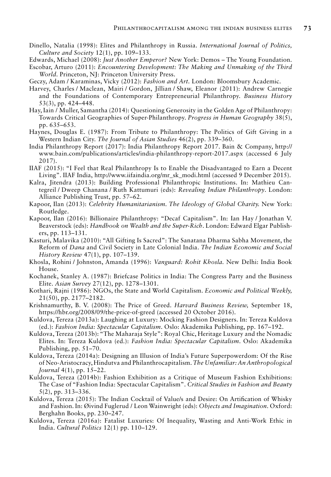- Dinello, Natalia (1998): Elites and Philanthropy in Russia. *International Journal of Politics, Culture and Society* 12(1), pp. 109–133.
- Edwards, Michael (2008): *Just Another Emperor?* New York: Demos The Young Foundation.
- Escobar, Arturo (2011): *Encountering Development: The Making and Unmaking of the Third World.* Princeton, NJ: Princeton University Press.
- Geczy, Adam / Karaminas, Vicky (2012): *Fashion and Art.* London: Bloomsbury Academic.
- Harvey, Charles / Maclean, Mairi / Gordon, Jillian / Shaw, Eleanor (2011): Andrew Carnegie and the Foundations of Contemporary Entrepreneurial Philanthropy. *Business History* 53(3), pp. 424–448.
- Hay, Iain / Muller, Samantha (2014): Questioning Generosity in the Golden Age of Philanthropy: Towards Critical Geographies of Super-Philanthropy. *Progress in Human Geography* 38(5), pp. 635–653.
- Haynes, Douglas E. (1987): From Tribute to Philanthropy: The Politics of Gift Giving in a Western Indian City. *The Journal of Asian Studies* 46(2), pp. 339–360.
- India Philanthropy Report (2017): India Philanthropy Report 2017. Bain & Company, http:// www.bain.com/publications/articles/india-philanthropy-report-2017.aspx (accessed 6 July 2017).
- IIAF (2015): "I Feel that Real Philanthropy Is to Enable the Disadvantaged to Earn a Decent Living". IIAF India, http://www.iifaindia.org/mr\_sk\_modi.html (accessed 9 December 2015).
- Kalra, Jitendra (2013): Building Professional Philanthropic Institutions. In: Mathieu Cantegreil / Dweep Chanana / Ruth Kattumuri (eds): *Revealing Indian Philanthropy*. London: Alliance Publishing Trust, pp. 57–62.
- Kapoor, Ilan (2013): *Celebrity Humanitarianism. The Ideology of Global Charity.* New York: Routledge.
- Kapoor, Ilan (2016): Billionaire Philanthropy: "Decaf Capitalism". In: Ian Hay / Jonathan V. Beaverstock (eds): *Handbook on Wealth and the Super-Rich*. London: Edward Elgar Publishers, pp. 113–131.
- Kasturi, Malavika (2010): "All Gifting Is Sacred": The Sanatana Dharma Sabha Movement, the Reform of *Dana* and Civil Society in Late Colonial India. *The Indian Economic and Social History Review* 47(1), pp. 107–139.
- Khosla, Rohini / Johnston, Amanda (1996): *Vanguard: Rohit Khosla.* New Delhi: India Book House.
- Kochanek, Stanley A. (1987): Briefcase Politics in India: The Congress Party and the Business Elite. *Asian Survey* 27(12), pp. 1278–1301.
- Kothari, Rajni (1986): NGOs, the State and World Capitalism. *Economic and Political Weekly,* 21(50), pp. 2177–2182.
- Krishnamurthy, B. V. (2008): The Price of Greed. *Harvard Business Review,* September 18, https://hbr.org/2008/09/the-price-of-greed (accessed 20 October 2016).
- Kuldova, Tereza (2013a): Laughing at Luxury: Mocking Fashion Designers. In: Tereza Kuldova (ed.): *Fashion India: Spectacular Capitalism*. Oslo: Akademika Publishing, pp. 167–192.
- Kuldova, Tereza (2013b): "The Maharaja Style": Royal Chic, Heritage Luxury and the Nomadic Elites. In: Tereza Kuldova (ed.): *Fashion India: Spectacular Capitalism*. Oslo: Akademika Publishing, pp. 51–70.
- Kuldova, Tereza (2014a): Designing an Illusion of India's Future Superpowerdom: Of the Rise of Neo-Aristocracy, Hindutva and Philanthrocapitalism. *The Unfamiliar: An Anthropological Journal* 4(1), pp. 15–22.
- Kuldova, Tereza (2014b): Fashion Exhibition as a Critique of Museum Fashion Exhibitions: The Case of "Fashion India: Spectacular Capitalism". *Critical Studies in Fashion and Beauty* 5(2), pp. 313–336.
- Kuldova, Tereza (2015): The Indian Cocktail of Value/s and Desire: On Artification of Whisky and Fashion. In: Øivind Fuglerud / Leon Wainwright (eds): *Objects and Imagination*. Oxford: Berghahn Books, pp. 230–247.
- Kuldova, Tereza (2016a): Fatalist Luxuries: Of Inequality, Wasting and Anti-Work Ethic in India. *Cultural Politics* 12(1) pp. 110–129.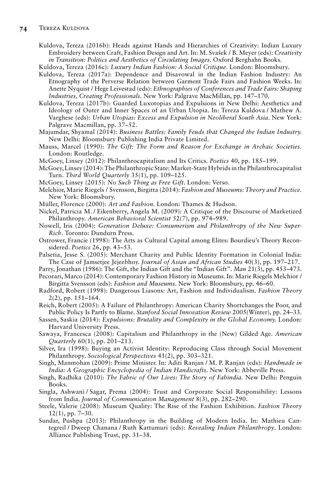- Kuldova, Tereza (2016b): Heads against Hands and Hierarchies of Creativity: Indian Luxury Embroidery between Craft, Fashion Design and Art. In: M. Svašek / B. Meyer (eds): *Creativity in Transition: Politics and Aesthetics of Circulating Images*. Oxford Berghahn Books.
- Kuldova, Tereza (2016c): *Luxury Indian Fashion: A Social Critique.* London: Bloomsbury.
- Kuldova, Tereza (2017a): Dependence and Disavowal in the Indian Fashion Industry: An Etnography of the Perverse Relation between Garment Trade Fairs and Fashion Weeks. In: Anette Nyquist / Hege Leivestad (eds): *Ethnographies of Conferences and Trade Fairs: Shaping Industries, Creating Professionals*. New York: Palgrave MacMillan, pp. 147–170.
- Kuldova, Tereza (2017b): Guarded Luxotopias and Expulsions in New Delhi: Aesthetics and Ideology of Outer and Inner Spaces of an Urban Utopia. In: Tereza Kuldova / Mathew A. Varghese (eds): *Urban Utopias: Excess and Expulsion in Neoliberal South Asia*. New York: Palgrave Macmillan, pp. 37–52.
- Majumdar, Shyamal (2014): *Business Battles: Family Feuds that Changed the Indian Industry.*  New Delhi: Bloomsbury Publishing India Private Limited.
- Mauss, Marcel (1990): *The Gift: The Form and Reason for Exchange in Archaic Societies.*  London: Routledge.
- McGoey, Linsey (2012): Philanthrocapitalism and Its Critics. *Poetics* 40, pp. 185–199.
- McGoey, Linsey (2014): The Philanthropic State: Market-State Hybrids in the Philanthrocapitalist Turn. *Third World Quarterly* 35(1), pp. 109–125.
- McGoey, Linsey (2015): *No Such Thing as Free Gift.* London: Verso.
- Melchior, Marie Riegels / Svensson, Birgitta (2014): *Fashion and Museums: Theory and Practice.* New York: Bloomsbury.
- Müller, Florence (2000): *Art and Fashion.* London: Thames & Hudson.
- Nickel, Patricia M. / Eikenberry, Angela M. (2009): A Critique of the Discourse of Marketized Philanthropy. *American Behavioral Scientist* 52(7), pp. 974–989.
- Nowell, Iris (2004): *Generation Deluxe: Consumerism and Philanthropy of the New Super-Rich.* Toronto: Dundurn Press.
- Ostrower, Francie (1998): The Arts as Cultural Capital among Elites: Bourdieu's Theory Reconsidered. *Poetics* 26, pp. 43–53.
- Palsetia, Jesse S. (2005): Merchant Charity and Public Identity Formation in Colonial India: The Case of Jamsetjee Jejeebhoy. *Journal of Asian and African Studies* 40(3), pp. 197–217.
- Parry, Jonathan (1986): The Gift, the Indian Gift and the "Indian Gift". *Man* 21(3), pp. 453–473.
- Pecorari, Marco (2014): Contemporary Fashion History in Museums. In: Marie Riegels Melchior / Birgitta Svensson (eds): *Fashion and Museums*. New York: Bloomsbury, pp. 46–60.
- Radford, Robert (1998): Dangerous Liasons: Art, Fashion and Individualism. *Fashion Theory* 2(2), pp. 151–164.
- Reich, Robert (2005): A Failure of Philanthropy: American Charity Shortchanges the Poor, and Public Policy Is Partly to Blame. *Stanford Social Innovation Review* 2005(Winter), pp. 24–33.
- Sassen, Saskia (2014): *Expulsions: Brutality and Complexity in the Global Economy.* London: Harvard University Press.
- Sawaya, Francesca (2008): Capitalism and Philanthropy in the (New) Gilded Age. *American Quarterly* 60(1), pp. 201–213.
- Silver, Ira (1998): Buying an Activist Identity: Reproducing Class through Social Movement Philanthropy. *Sociological Perspectives* 41(2), pp. 303–321.
- Singh, Manmohan (2009): Prime Minister. In: Aditi Ranjan / M. P. Ranjan (eds): *Handmade in India: A Geographic Encyclopedia of Indian Handicrafts*. New York: Abbeville Press.
- Singh, Radhika (2010): *The Fabric of Our Lives: The Story of Fabindia.* New Delhi: Penguin Books.
- Singla, Ashwani / Sagar, Prema (2004): Trust and Corporate Social Responsibility: Lessons from India. *Journal of Communication Management* 8(3), pp. 282–290.
- Steele, Valerie (2008): Museum Quality: The Rise of the Fashion Exhibition. *Fashion Theory* 12(1), pp. 7–30.
- Sundar, Pushpa (2013): Philanthropy in the Building of Modern India. In: Mathieu Cantegreil / Dweep Chanana / Ruth Kattumuri (eds): *Revealing Indian Philanthropy*. London: Alliance Publishing Trust, pp. 31–38.